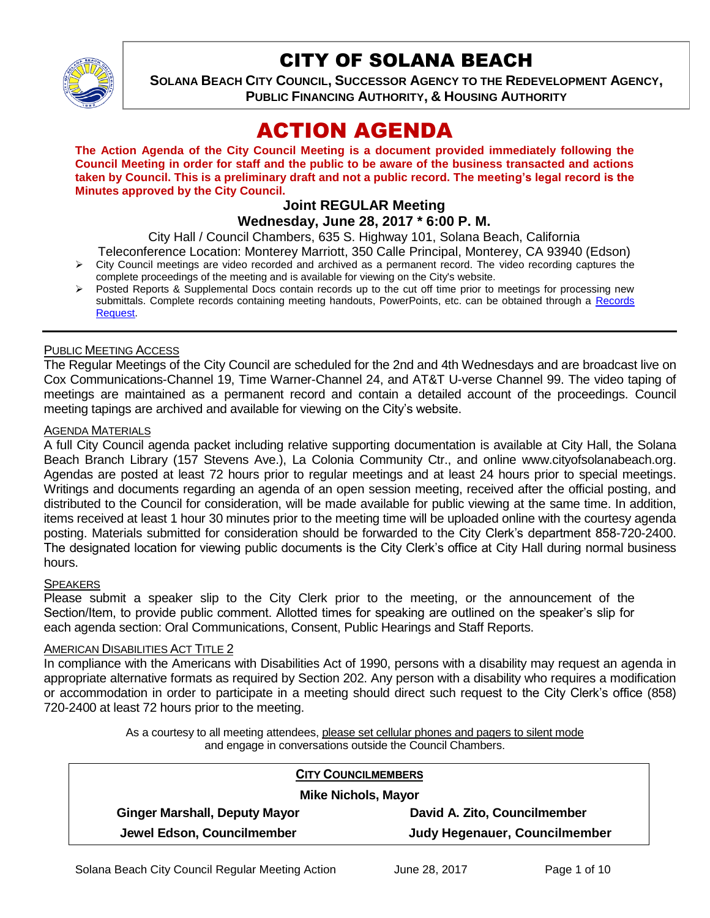

## CITY OF SOLANA BEACH

**SOLANA BEACH CITY COUNCIL, SUCCESSOR AGENCY TO THE REDEVELOPMENT AGENCY, PUBLIC FINANCING AUTHORITY, & HOUSING AUTHORITY** 

# ACTION AGENDA

**The Action Agenda of the City Council Meeting is a document provided immediately following the Council Meeting in order for staff and the public to be aware of the business transacted and actions taken by Council. This is a preliminary draft and not a public record. The meeting's legal record is the Minutes approved by the City Council.**

#### **Joint REGULAR Meeting Wednesday, June 28, 2017 \* 6:00 P. M.**

City Hall / Council Chambers, 635 S. Highway 101, Solana Beach, California

Teleconference Location: Monterey Marriott, 350 Calle Principal, Monterey, CA 93940 (Edson)

- $\triangleright$  City Council meetings are video recorded and archived as a permanent record. The video recording captures the complete proceedings of the meeting and is available for viewing on the City's website.
- Posted Reports & Supplemental Docs contain records up to the cut off time prior to meetings for processing new submittals. Complete records containing meeting handouts, PowerPoints, etc. can be obtained through a Records [Request.](http://www.ci.solana-beach.ca.us/index.asp?SEC=F5D45D10-70CE-4291-A27C-7BD633FC6742&Type=B_BASIC)

#### PUBLIC MEETING ACCESS

The Regular Meetings of the City Council are scheduled for the 2nd and 4th Wednesdays and are broadcast live on Cox Communications-Channel 19, Time Warner-Channel 24, and AT&T U-verse Channel 99. The video taping of meetings are maintained as a permanent record and contain a detailed account of the proceedings. Council meeting tapings are archived and available for viewing on the City's website.

#### AGENDA MATERIALS

A full City Council agenda packet including relative supporting documentation is available at City Hall, the Solana Beach Branch Library (157 Stevens Ave.), La Colonia Community Ctr., and online www.cityofsolanabeach.org. Agendas are posted at least 72 hours prior to regular meetings and at least 24 hours prior to special meetings. Writings and documents regarding an agenda of an open session meeting, received after the official posting, and distributed to the Council for consideration, will be made available for public viewing at the same time. In addition, items received at least 1 hour 30 minutes prior to the meeting time will be uploaded online with the courtesy agenda posting. Materials submitted for consideration should be forwarded to the City Clerk's department 858-720-2400. The designated location for viewing public documents is the City Clerk's office at City Hall during normal business hours.

#### **SPEAKERS**

Please submit a speaker slip to the City Clerk prior to the meeting, or the announcement of the Section/Item, to provide public comment. Allotted times for speaking are outlined on the speaker's slip for each agenda section: Oral Communications, Consent, Public Hearings and Staff Reports.

#### AMERICAN DISABILITIES ACT TITLE 2

In compliance with the Americans with Disabilities Act of 1990, persons with a disability may request an agenda in appropriate alternative formats as required by Section 202. Any person with a disability who requires a modification or accommodation in order to participate in a meeting should direct such request to the City Clerk's office (858) 720-2400 at least 72 hours prior to the meeting.

> As a courtesy to all meeting attendees, please set cellular phones and pagers to silent mode and engage in conversations outside the Council Chambers.

| <b>CITY COUNCILMEMBERS</b><br><b>Mike Nichols, Mayor</b> |                               |
|----------------------------------------------------------|-------------------------------|
|                                                          |                               |
| Jewel Edson, Councilmember                               | Judy Hegenauer, Councilmember |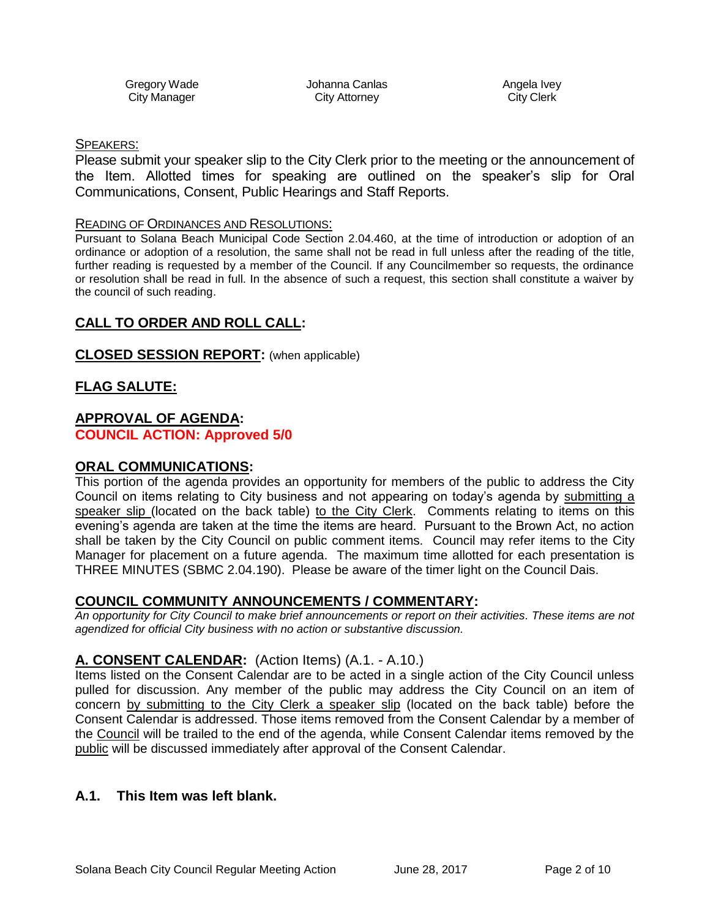Gregory Wade City Manager

Johanna Canlas City Attorney

Angela Ivey City Clerk

#### SPEAKERS:

Please submit your speaker slip to the City Clerk prior to the meeting or the announcement of the Item. Allotted times for speaking are outlined on the speaker's slip for Oral Communications, Consent, Public Hearings and Staff Reports.

#### READING OF ORDINANCES AND RESOLUTIONS:

Pursuant to Solana Beach Municipal Code Section 2.04.460, at the time of introduction or adoption of an ordinance or adoption of a resolution, the same shall not be read in full unless after the reading of the title, further reading is requested by a member of the Council. If any Councilmember so requests, the ordinance or resolution shall be read in full. In the absence of such a request, this section shall constitute a waiver by the council of such reading.

## **CALL TO ORDER AND ROLL CALL:**

#### **CLOSED SESSION REPORT:** (when applicable)

## **FLAG SALUTE:**

### **APPROVAL OF AGENDA: COUNCIL ACTION: Approved 5/0**

#### **ORAL COMMUNICATIONS:**

This portion of the agenda provides an opportunity for members of the public to address the City Council on items relating to City business and not appearing on today's agenda by submitting a speaker slip (located on the back table) to the City Clerk. Comments relating to items on this evening's agenda are taken at the time the items are heard. Pursuant to the Brown Act, no action shall be taken by the City Council on public comment items. Council may refer items to the City Manager for placement on a future agenda. The maximum time allotted for each presentation is THREE MINUTES (SBMC 2.04.190). Please be aware of the timer light on the Council Dais.

#### **COUNCIL COMMUNITY ANNOUNCEMENTS / COMMENTARY:**

*An opportunity for City Council to make brief announcements or report on their activities. These items are not agendized for official City business with no action or substantive discussion.* 

## **A. CONSENT CALENDAR:** (Action Items) (A.1. - A.10.)

Items listed on the Consent Calendar are to be acted in a single action of the City Council unless pulled for discussion. Any member of the public may address the City Council on an item of concern by submitting to the City Clerk a speaker slip (located on the back table) before the Consent Calendar is addressed. Those items removed from the Consent Calendar by a member of the Council will be trailed to the end of the agenda, while Consent Calendar items removed by the public will be discussed immediately after approval of the Consent Calendar.

## **A.1. This Item was left blank.**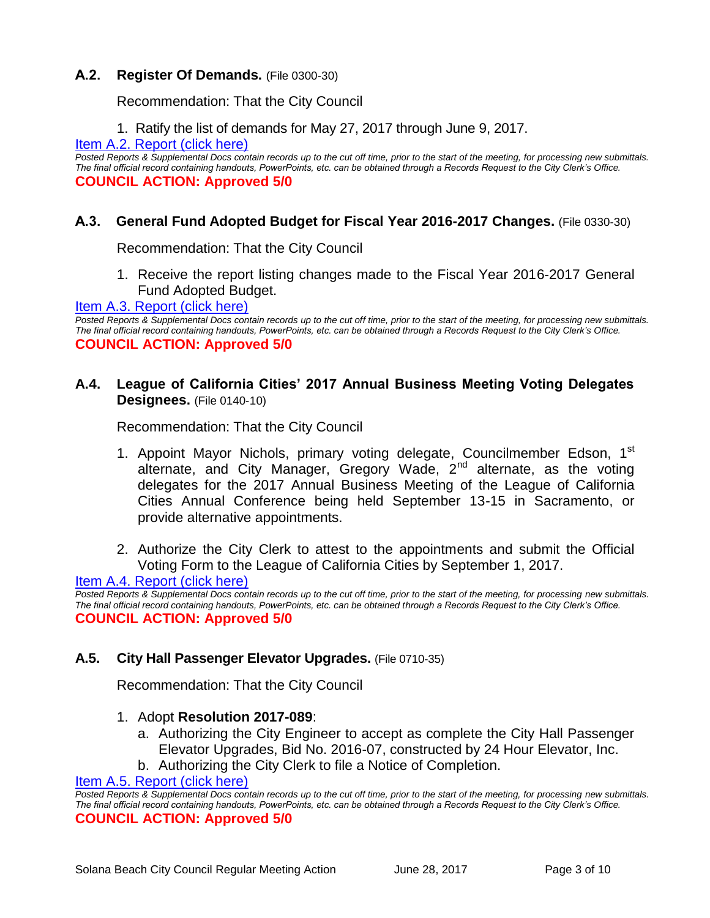### **A.2. Register Of Demands.** (File 0300-30)

Recommendation: That the City Council

1. Ratify the list of demands for May 27, 2017 through June 9, 2017.

#### [Item A.2. Report \(click here\)](https://solanabeach.govoffice3.com/vertical/Sites/%7B840804C2-F869-4904-9AE3-720581350CE7%7D/uploads/Item_A.2_Report_(click_here)_-_6-28-17.PDF)

*Posted Reports & Supplemental Docs contain records up to the cut off time, prior to the start of the meeting, for processing new submittals. The final official record containing handouts, PowerPoints, etc. can be obtained through a Records Request to the City Clerk's Office.* **COUNCIL ACTION: Approved 5/0**

#### **A.3. General Fund Adopted Budget for Fiscal Year 2016-2017 Changes.** (File 0330-30)

Recommendation: That the City Council

1. Receive the report listing changes made to the Fiscal Year 2016-2017 General Fund Adopted Budget.

#### [Item A.3. Report \(click here\)](https://solanabeach.govoffice3.com/vertical/Sites/%7B840804C2-F869-4904-9AE3-720581350CE7%7D/uploads/Item_A.3_Report_(click_here)_-_6-28-17.PDF)

*Posted Reports & Supplemental Docs contain records up to the cut off time, prior to the start of the meeting, for processing new submittals. The final official record containing handouts, PowerPoints, etc. can be obtained through a Records Request to the City Clerk's Office.* **COUNCIL ACTION: Approved 5/0**

### **A.4. League of California Cities' 2017 Annual Business Meeting Voting Delegates Designees.** (File 0140-10)

Recommendation: That the City Council

- 1. Appoint Mayor Nichols, primary voting delegate, Councilmember Edson, 1<sup>st</sup> alternate, and City Manager, Gregory Wade, 2<sup>nd</sup> alternate, as the voting delegates for the 2017 Annual Business Meeting of the League of California Cities Annual Conference being held September 13-15 in Sacramento, or provide alternative appointments.
- 2. Authorize the City Clerk to attest to the appointments and submit the Official Voting Form to the League of California Cities by September 1, 2017.

[Item A.4. Report \(click here\)](https://solanabeach.govoffice3.com/vertical/Sites/%7B840804C2-F869-4904-9AE3-720581350CE7%7D/uploads/Item_A.4_Report_(click_here)_-_6-28-17.PDF)

*Posted Reports & Supplemental Docs contain records up to the cut off time, prior to the start of the meeting, for processing new submittals. The final official record containing handouts, PowerPoints, etc. can be obtained through a Records Request to the City Clerk's Office.* **COUNCIL ACTION: Approved 5/0**

#### **A.5. City Hall Passenger Elevator Upgrades.** (File 0710-35)

Recommendation: That the City Council

- 1. Adopt **Resolution 2017-089**:
	- a. Authorizing the City Engineer to accept as complete the City Hall Passenger Elevator Upgrades, Bid No. 2016-07, constructed by 24 Hour Elevator, Inc.
	- b. Authorizing the City Clerk to file a Notice of Completion.

Item A.5. [Report \(click here\)](https://solanabeach.govoffice3.com/vertical/Sites/%7B840804C2-F869-4904-9AE3-720581350CE7%7D/uploads/Item_A.5_Report_(click_here)_-_6-28-17.PDF)

*Posted Reports & Supplemental Docs contain records up to the cut off time, prior to the start of the meeting, for processing new submittals. The final official record containing handouts, PowerPoints, etc. can be obtained through a Records Request to the City Clerk's Office.* **COUNCIL ACTION: Approved 5/0**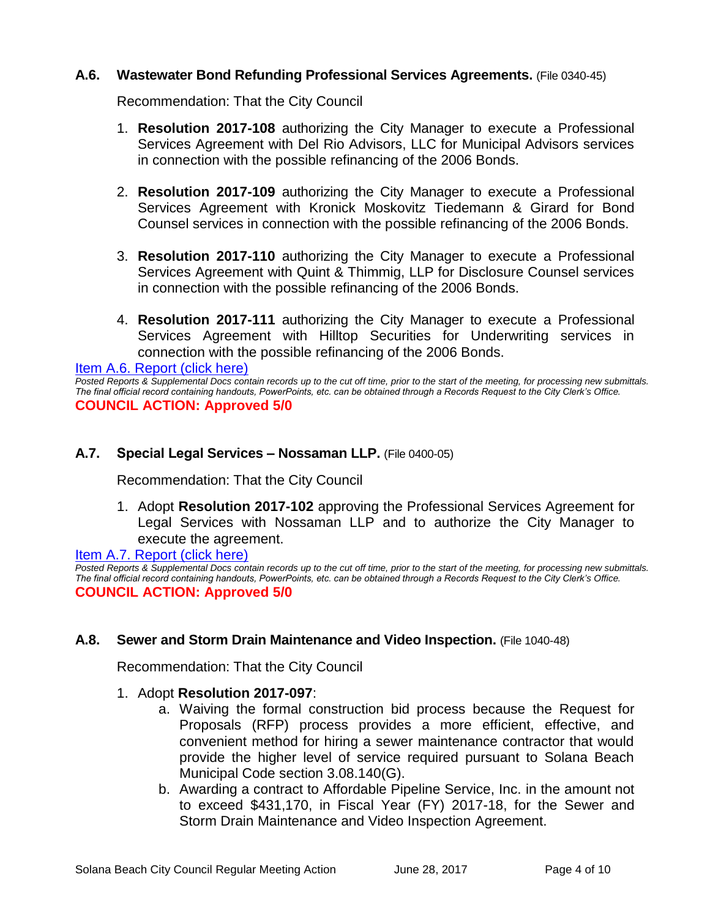## **A.6. Wastewater Bond Refunding Professional Services Agreements.** (File 0340-45)

Recommendation: That the City Council

- 1. **Resolution 2017-108** authorizing the City Manager to execute a Professional Services Agreement with Del Rio Advisors, LLC for Municipal Advisors services in connection with the possible refinancing of the 2006 Bonds.
- 2. **Resolution 2017-109** authorizing the City Manager to execute a Professional Services Agreement with Kronick Moskovitz Tiedemann & Girard for Bond Counsel services in connection with the possible refinancing of the 2006 Bonds.
- 3. **Resolution 2017-110** authorizing the City Manager to execute a Professional Services Agreement with Quint & Thimmig, LLP for Disclosure Counsel services in connection with the possible refinancing of the 2006 Bonds.
- 4. **Resolution 2017-111** authorizing the City Manager to execute a Professional Services Agreement with Hilltop Securities for Underwriting services in connection with the possible refinancing of the 2006 Bonds.

[Item A.6. Report \(click here\)](https://solanabeach.govoffice3.com/vertical/Sites/%7B840804C2-F869-4904-9AE3-720581350CE7%7D/uploads/Item_A.6_Report_(click_here)_-_6-28-17.PDF)

*Posted Reports & Supplemental Docs contain records up to the cut off time, prior to the start of the meeting, for processing new submittals. The final official record containing handouts, PowerPoints, etc. can be obtained through a Records Request to the City Clerk's Office.* **COUNCIL ACTION: Approved 5/0**

## **A.7. Special Legal Services – Nossaman LLP.** (File 0400-05)

Recommendation: That the City Council

1. Adopt **Resolution 2017-102** approving the Professional Services Agreement for Legal Services with Nossaman LLP and to authorize the City Manager to execute the agreement.

[Item A.7. Report \(click here\)](https://solanabeach.govoffice3.com/vertical/Sites/%7B840804C2-F869-4904-9AE3-720581350CE7%7D/uploads/Item_A.7_Report_(click_here)_-_6-28-17.PDF)

*Posted Reports & Supplemental Docs contain records up to the cut off time, prior to the start of the meeting, for processing new submittals. The final official record containing handouts, PowerPoints, etc. can be obtained through a Records Request to the City Clerk's Office.* **COUNCIL ACTION: Approved 5/0**

## **A.8. Sewer and Storm Drain Maintenance and Video Inspection.** (File 1040-48)

Recommendation: That the City Council

## 1. Adopt **Resolution 2017-097**:

- a. Waiving the formal construction bid process because the Request for Proposals (RFP) process provides a more efficient, effective, and convenient method for hiring a sewer maintenance contractor that would provide the higher level of service required pursuant to Solana Beach Municipal Code section 3.08.140(G).
- b. Awarding a contract to Affordable Pipeline Service, Inc. in the amount not to exceed \$431,170, in Fiscal Year (FY) 2017-18, for the Sewer and Storm Drain Maintenance and Video Inspection Agreement.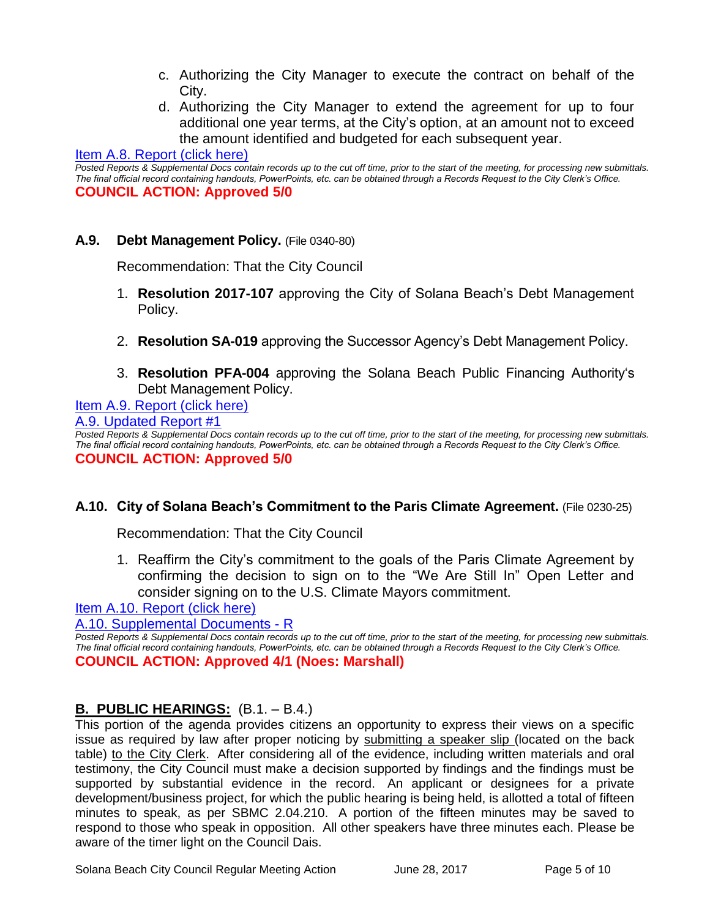- c. Authorizing the City Manager to execute the contract on behalf of the City.
- d. Authorizing the City Manager to extend the agreement for up to four additional one year terms, at the City's option, at an amount not to exceed the amount identified and budgeted for each subsequent year.

#### [Item A.8. Report \(click here\)](https://solanabeach.govoffice3.com/vertical/Sites/%7B840804C2-F869-4904-9AE3-720581350CE7%7D/uploads/Item_A.8_Report_(click_here)_-_6-28-17.PDF)

*Posted Reports & Supplemental Docs contain records up to the cut off time, prior to the start of the meeting, for processing new submittals. The final official record containing handouts, PowerPoints, etc. can be obtained through a Records Request to the City Clerk's Office.* **COUNCIL ACTION: Approved 5/0**

#### **A.9. Debt Management Policy.** (File 0340-80)

Recommendation: That the City Council

- 1. **Resolution 2017-107** approving the City of Solana Beach's Debt Management Policy.
- 2. **Resolution SA-019** approving the Successor Agency's Debt Management Policy.
- 3. **Resolution PFA-004** approving the Solana Beach Public Financing Authority's Debt Management Policy.

#### [Item A.9. Report \(click here\)](https://solanabeach.govoffice3.com/vertical/Sites/%7B840804C2-F869-4904-9AE3-720581350CE7%7D/uploads/Item_A.9_Report_(click_here)_-_6-28-17.PDF)

[A.9. Updated Report #1](https://solanabeach.govoffice3.com/vertical/Sites/%7B840804C2-F869-4904-9AE3-720581350CE7%7D/uploads/A.9._Updated_Report_1_-_06-28-17.pdf)

*Posted Reports & Supplemental Docs contain records up to the cut off time, prior to the start of the meeting, for processing new submittals. The final official record containing handouts, PowerPoints, etc. can be obtained through a Records Request to the City Clerk's Office.* **COUNCIL ACTION: Approved 5/0**

#### **A.10. City of Solana Beach's Commitment to the Paris Climate Agreement.** (File 0230-25)

Recommendation: That the City Council

1. Reaffirm the City's commitment to the goals of the Paris Climate Agreement by confirming the decision to sign on to the "We Are Still In" Open Letter and consider signing on to the U.S. Climate Mayors commitment.

[Item A.10. Report \(click here\)](https://solanabeach.govoffice3.com/vertical/Sites/%7B840804C2-F869-4904-9AE3-720581350CE7%7D/uploads/Item_A.10_Report_(click_here)_-_6-28-17.PDF)

[A.10. Supplemental Documents -](https://solanabeach.govoffice3.com/vertical/Sites/%7B840804C2-F869-4904-9AE3-720581350CE7%7D/uploads/A.10._Supplemental_Documents_-_R.pdf) R

**Posted Reports & Supplemental Docs contain records up to the cut off time, prior to the start of the meeting, for processing new submittals.** *The final official record containing handouts, PowerPoints, etc. can be obtained through a Records Request to the City Clerk's Office.* **COUNCIL ACTION: Approved 4/1 (Noes: Marshall)** 

## **B. PUBLIC HEARINGS:** (B.1. – B.4.)

This portion of the agenda provides citizens an opportunity to express their views on a specific issue as required by law after proper noticing by submitting a speaker slip (located on the back table) to the City Clerk. After considering all of the evidence, including written materials and oral testimony, the City Council must make a decision supported by findings and the findings must be supported by substantial evidence in the record. An applicant or designees for a private development/business project, for which the public hearing is being held, is allotted a total of fifteen minutes to speak, as per SBMC 2.04.210. A portion of the fifteen minutes may be saved to respond to those who speak in opposition. All other speakers have three minutes each. Please be aware of the timer light on the Council Dais.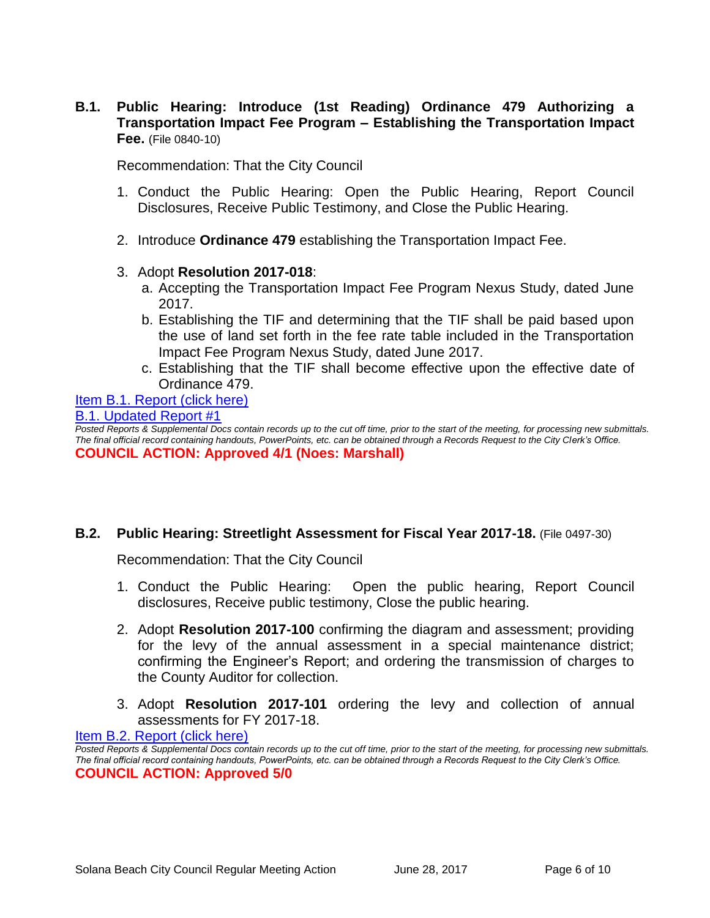## **B.1. Public Hearing: Introduce (1st Reading) Ordinance 479 Authorizing a Transportation Impact Fee Program – Establishing the Transportation Impact Fee.** (File 0840-10)

Recommendation: That the City Council

- 1. Conduct the Public Hearing: Open the Public Hearing, Report Council Disclosures, Receive Public Testimony, and Close the Public Hearing.
- 2. Introduce **Ordinance 479** establishing the Transportation Impact Fee.

#### 3. Adopt **Resolution 2017-018**:

- a. Accepting the Transportation Impact Fee Program Nexus Study, dated June 2017.
- b. Establishing the TIF and determining that the TIF shall be paid based upon the use of land set forth in the fee rate table included in the Transportation Impact Fee Program Nexus Study, dated June 2017.
- c. Establishing that the TIF shall become effective upon the effective date of Ordinance 479.

#### [Item B.1. Report \(click here\)](https://solanabeach.govoffice3.com/vertical/Sites/%7B840804C2-F869-4904-9AE3-720581350CE7%7D/uploads/Item_B.1_Report_(click_here)_-_6-28-2017.PDF)  [B.1. Updated Report #1](https://solanabeach.govoffice3.com/vertical/Sites/%7B840804C2-F869-4904-9AE3-720581350CE7%7D/uploads/B.1._Updated_Report_1__-_06-28-17.pdf)

**Posted Reports & Supplemental Docs contain records up to the cut off time, prior to the start of the meeting, for processing new submittals.** *The final official record containing handouts, PowerPoints, etc. can be obtained through a Records Request to the City Clerk's Office.* **COUNCIL ACTION: Approved 4/1 (Noes: Marshall)** 

## **B.2. Public Hearing: Streetlight Assessment for Fiscal Year 2017-18.** (File 0497-30)

Recommendation: That the City Council

- 1. Conduct the Public Hearing: Open the public hearing, Report Council disclosures, Receive public testimony, Close the public hearing.
- 2. Adopt **Resolution 2017-100** confirming the diagram and assessment; providing for the levy of the annual assessment in a special maintenance district; confirming the Engineer's Report; and ordering the transmission of charges to the County Auditor for collection.
- 3. Adopt **Resolution 2017-101** ordering the levy and collection of annual assessments for FY 2017-18.

[Item B.2. Report \(click here\)](https://solanabeach.govoffice3.com/vertical/Sites/%7B840804C2-F869-4904-9AE3-720581350CE7%7D/uploads/Item_B.2_Report_(click_here)_-_6-28-17.PDF)

*Posted Reports & Supplemental Docs contain records up to the cut off time, prior to the start of the meeting, for processing new submittals. The final official record containing handouts, PowerPoints, etc. can be obtained through a Records Request to the City Clerk's Office.* **COUNCIL ACTION: Approved 5/0**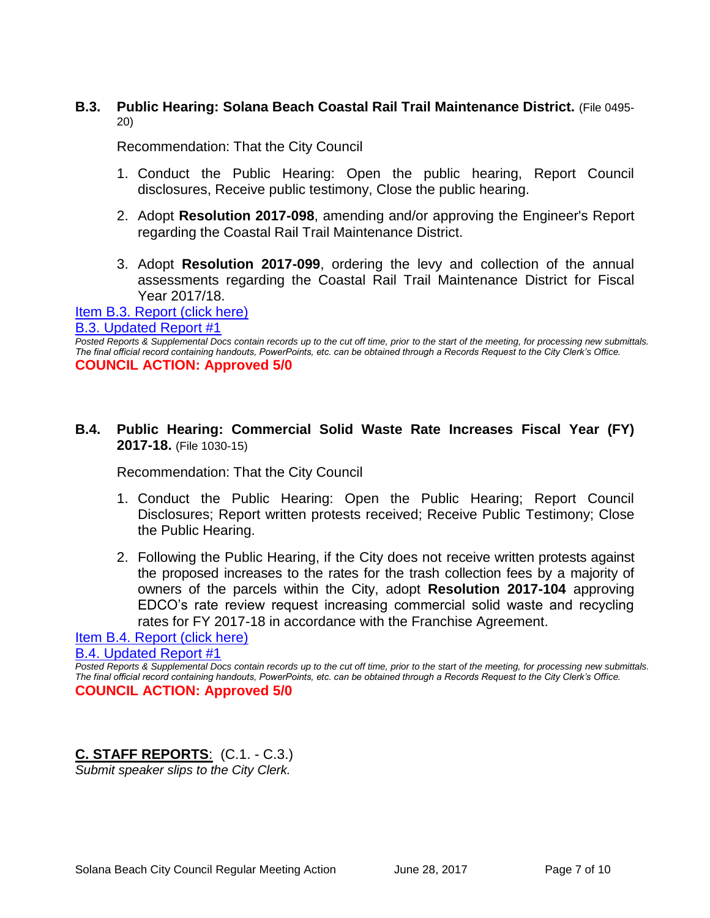#### **B.3. Public Hearing: Solana Beach Coastal Rail Trail Maintenance District.** (File 0495- 20)

Recommendation: That the City Council

- 1. Conduct the Public Hearing: Open the public hearing, Report Council disclosures, Receive public testimony, Close the public hearing.
- 2. Adopt **Resolution 2017-098**, amending and/or approving the Engineer's Report regarding the Coastal Rail Trail Maintenance District.
- 3. Adopt **Resolution 2017-099**, ordering the levy and collection of the annual assessments regarding the Coastal Rail Trail Maintenance District for Fiscal Year 2017/18.

[Item B.3. Report \(click here\)](https://solanabeach.govoffice3.com/vertical/Sites/%7B840804C2-F869-4904-9AE3-720581350CE7%7D/uploads/Item_B.3_Report_(click_here)_-_6-28-17.PDF)

[B.3. Updated Report #1](https://solanabeach.govoffice3.com/vertical/Sites/%7B840804C2-F869-4904-9AE3-720581350CE7%7D/uploads/B.3._Updated_Report_1_-_06-28-17.pdf)

*Posted Reports & Supplemental Docs contain records up to the cut off time, prior to the start of the meeting, for processing new submittals. The final official record containing handouts, PowerPoints, etc. can be obtained through a Records Request to the City Clerk's Office.* **COUNCIL ACTION: Approved 5/0**

## **B.4. Public Hearing: Commercial Solid Waste Rate Increases Fiscal Year (FY) 2017-18.** (File 1030-15)

Recommendation: That the City Council

- 1. Conduct the Public Hearing: Open the Public Hearing; Report Council Disclosures; Report written protests received; Receive Public Testimony; Close the Public Hearing.
- 2. Following the Public Hearing, if the City does not receive written protests against the proposed increases to the rates for the trash collection fees by a majority of owners of the parcels within the City, adopt **Resolution 2017-104** approving EDCO's rate review request increasing commercial solid waste and recycling rates for FY 2017-18 in accordance with the Franchise Agreement.

[Item B.4. Report \(click here\)](https://solanabeach.govoffice3.com/vertical/Sites/%7B840804C2-F869-4904-9AE3-720581350CE7%7D/uploads/Item_B.4_Report_(click_here)_-_6-28-17.PDF)

[B.4. Updated Report #1](https://solanabeach.govoffice3.com/vertical/Sites/%7B840804C2-F869-4904-9AE3-720581350CE7%7D/uploads/B.4._Updated_Report_1_-_06-28-17.pdf)

*Posted Reports & Supplemental Docs contain records up to the cut off time, prior to the start of the meeting, for processing new submittals. The final official record containing handouts, PowerPoints, etc. can be obtained through a Records Request to the City Clerk's Office.* **COUNCIL ACTION: Approved 5/0**

**C. STAFF REPORTS**: (C.1. - C.3.) *Submit speaker slips to the City Clerk.*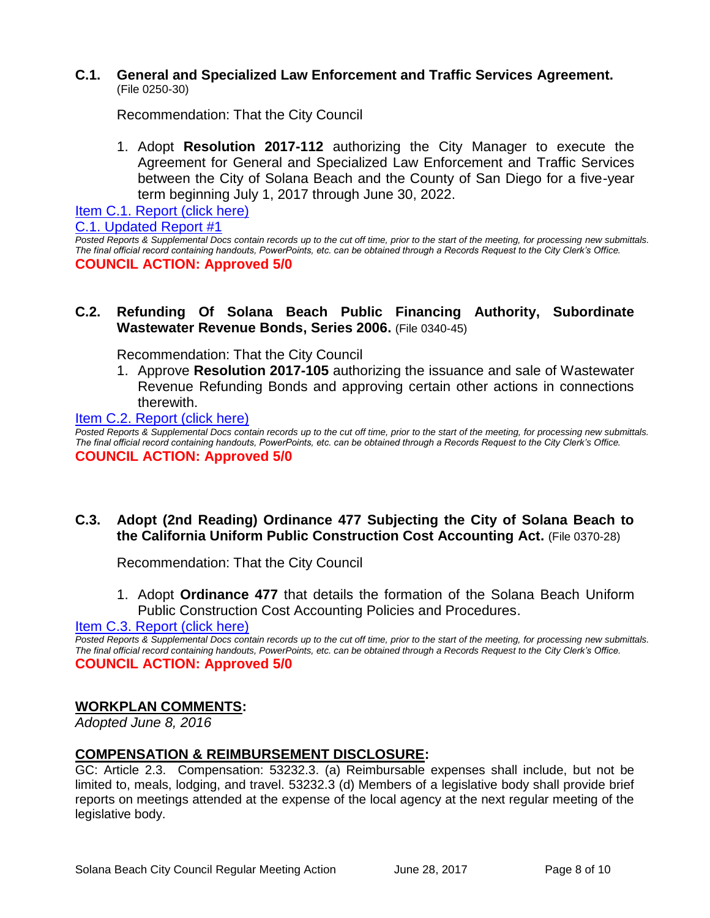#### **C.1. General and Specialized Law Enforcement and Traffic Services Agreement.** (File 0250-30)

Recommendation: That the City Council

1. Adopt **Resolution 2017-112** authorizing the City Manager to execute the Agreement for General and Specialized Law Enforcement and Traffic Services between the City of Solana Beach and the County of San Diego for a five-year term beginning July 1, 2017 through June 30, 2022.

[Item C.1. Report \(click here\)](https://solanabeach.govoffice3.com/vertical/Sites/%7B840804C2-F869-4904-9AE3-720581350CE7%7D/uploads/Item_C.1_Report_(click_here)_-_6-28-17.PDF) [C.1. Updated Report #1](https://solanabeach.govoffice3.com/vertical/Sites/%7B840804C2-F869-4904-9AE3-720581350CE7%7D/uploads/C.1._Updated_Report_1_-_06-28-17.pdf)

*Posted Reports & Supplemental Docs contain records up to the cut off time, prior to the start of the meeting, for processing new submittals. The final official record containing handouts, PowerPoints, etc. can be obtained through a Records Request to the City Clerk's Office.* **COUNCIL ACTION: Approved 5/0**

#### **C.2. Refunding Of Solana Beach Public Financing Authority, Subordinate Wastewater Revenue Bonds, Series 2006.** (File 0340-45)

Recommendation: That the City Council

1. Approve **Resolution 2017-105** authorizing the issuance and sale of Wastewater Revenue Refunding Bonds and approving certain other actions in connections therewith.

[Item C.2. Report \(click here\)](https://solanabeach.govoffice3.com/vertical/Sites/%7B840804C2-F869-4904-9AE3-720581350CE7%7D/uploads/Item_C.2_Report_(click_here)_-_6-28-17.PDF)

*Posted Reports & Supplemental Docs contain records up to the cut off time, prior to the start of the meeting, for processing new submittals. The final official record containing handouts, PowerPoints, etc. can be obtained through a Records Request to the City Clerk's Office.* **COUNCIL ACTION: Approved 5/0**

## **C.3. Adopt (2nd Reading) Ordinance 477 Subjecting the City of Solana Beach to the California Uniform Public Construction Cost Accounting Act.** (File 0370-28)

Recommendation: That the City Council

1. Adopt **Ordinance 477** that details the formation of the Solana Beach Uniform Public Construction Cost Accounting Policies and Procedures.

[Item C.3. Report \(click here\)](https://solanabeach.govoffice3.com/vertical/Sites/%7B840804C2-F869-4904-9AE3-720581350CE7%7D/uploads/Item_C.3_Report_(click_here)_-_6-28-17.PDF)

*Posted Reports & Supplemental Docs contain records up to the cut off time, prior to the start of the meeting, for processing new submittals. The final official record containing handouts, PowerPoints, etc. can be obtained through a Records Request to the City Clerk's Office.* **COUNCIL ACTION: Approved 5/0**

## **WORKPLAN COMMENTS:**

*Adopted June 8, 2016*

## **COMPENSATION & REIMBURSEMENT DISCLOSURE:**

GC: Article 2.3. Compensation: 53232.3. (a) Reimbursable expenses shall include, but not be limited to, meals, lodging, and travel. 53232.3 (d) Members of a legislative body shall provide brief reports on meetings attended at the expense of the local agency at the next regular meeting of the legislative body.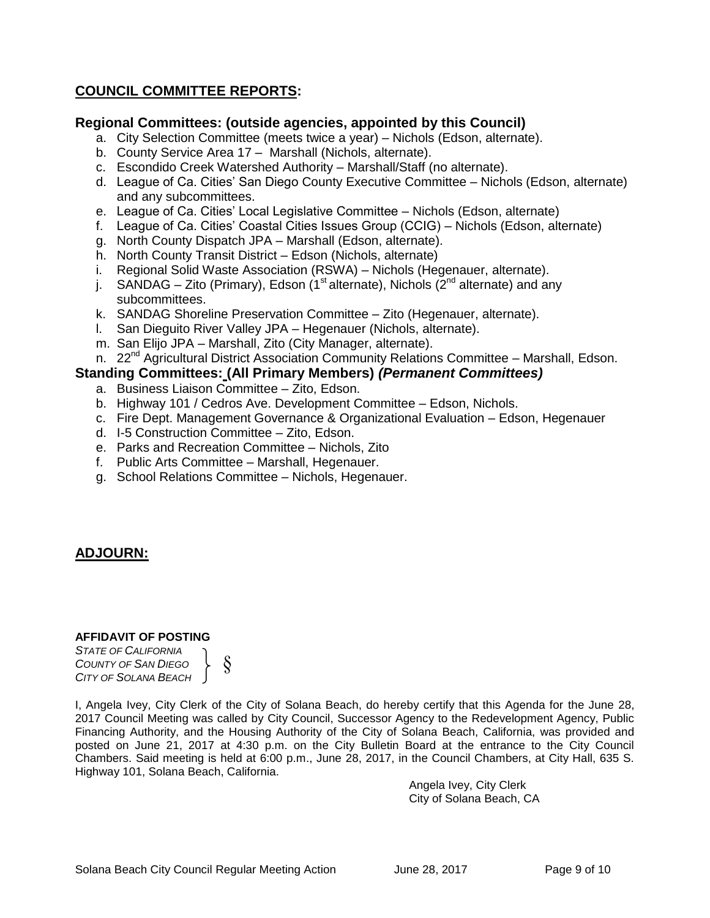## **COUNCIL COMMITTEE REPORTS:**

#### **Regional Committees: (outside agencies, appointed by this Council)**

- a. City Selection Committee (meets twice a year) Nichols (Edson, alternate).
- b. County Service Area 17 Marshall (Nichols, alternate).
- c. Escondido Creek Watershed Authority Marshall/Staff (no alternate).
- d. League of Ca. Cities' San Diego County Executive Committee Nichols (Edson, alternate) and any subcommittees.
- e. League of Ca. Cities' Local Legislative Committee Nichols (Edson, alternate)
- f. League of Ca. Cities' Coastal Cities Issues Group (CCIG) Nichols (Edson, alternate)
- g. North County Dispatch JPA Marshall (Edson, alternate).
- h. North County Transit District Edson (Nichols, alternate)
- i. Regional Solid Waste Association (RSWA) Nichols (Hegenauer, alternate).
- j. SANDAG Zito (Primary), Edson (1<sup>st</sup> alternate), Nichols ( $2^{nd}$  alternate) and any subcommittees.
- k. SANDAG Shoreline Preservation Committee Zito (Hegenauer, alternate).
- l. San Dieguito River Valley JPA Hegenauer (Nichols, alternate).
- m. San Elijo JPA Marshall, Zito (City Manager, alternate).
- n. 22<sup>nd</sup> Agricultural District Association Community Relations Committee Marshall, Edson.

#### **Standing Committees: (All Primary Members)** *(Permanent Committees)*

- a. Business Liaison Committee Zito, Edson.
- b. Highway 101 / Cedros Ave. Development Committee Edson, Nichols.
- c. Fire Dept. Management Governance & Organizational Evaluation Edson, Hegenauer
- d. I-5 Construction Committee Zito, Edson.
- e. Parks and Recreation Committee Nichols, Zito
- f. Public Arts Committee Marshall, Hegenauer.
- g. School Relations Committee Nichols, Hegenauer.

## **ADJOURN:**

#### **AFFIDAVIT OF POSTING**

*STATE OF CALIFORNIA COUNTY OF SAN DIEGO CITY OF SOLANA BEACH* §

I, Angela Ivey, City Clerk of the City of Solana Beach, do hereby certify that this Agenda for the June 28, 2017 Council Meeting was called by City Council, Successor Agency to the Redevelopment Agency, Public Financing Authority, and the Housing Authority of the City of Solana Beach, California, was provided and posted on June 21, 2017 at 4:30 p.m. on the City Bulletin Board at the entrance to the City Council Chambers. Said meeting is held at 6:00 p.m., June 28, 2017, in the Council Chambers, at City Hall, 635 S. Highway 101, Solana Beach, California.

> Angela Ivey, City Clerk City of Solana Beach, CA